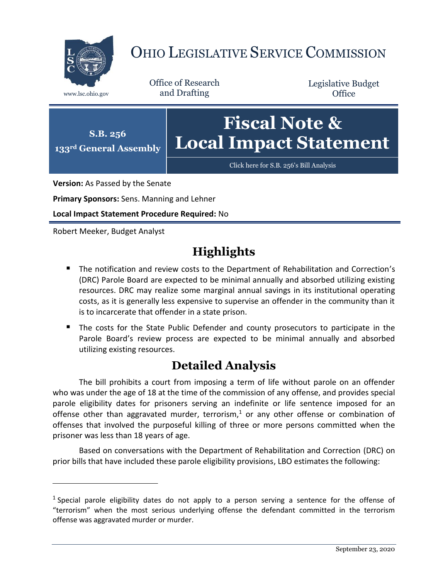

## OHIO LEGISLATIVE SERVICE COMMISSION

Office of Research www.lsc.ohio.gov and Drafting

Legislative Budget **Office** 



**Version:** As Passed by the Senate

**Primary Sponsors:** Sens. Manning and Lehner

**Local Impact Statement Procedure Required:** No

Robert Meeker, Budget Analyst

 $\overline{a}$ 

## **Highlights**

- **The notification and review costs to the Department of Rehabilitation and Correction's** (DRC) Parole Board are expected to be minimal annually and absorbed utilizing existing resources. DRC may realize some marginal annual savings in its institutional operating costs, as it is generally less expensive to supervise an offender in the community than it is to incarcerate that offender in a state prison.
- The costs for the State Public Defender and county prosecutors to participate in the Parole Board's review process are expected to be minimal annually and absorbed utilizing existing resources.

## **Detailed Analysis**

The bill prohibits a court from imposing a term of life without parole on an offender who was under the age of 18 at the time of the commission of any offense, and provides special parole eligibility dates for prisoners serving an indefinite or life sentence imposed for an offense other than aggravated murder, terrorism,<sup>1</sup> or any other offense or combination of offenses that involved the purposeful killing of three or more persons committed when the prisoner was less than 18 years of age.

Based on conversations with the Department of Rehabilitation and Correction (DRC) on prior bills that have included these parole eligibility provisions, LBO estimates the following:

<sup>&</sup>lt;sup>1</sup> Special parole eligibility dates do not apply to a person serving a sentence for the offense of "terrorism" when the most serious underlying offense the defendant committed in the terrorism offense was aggravated murder or murder.